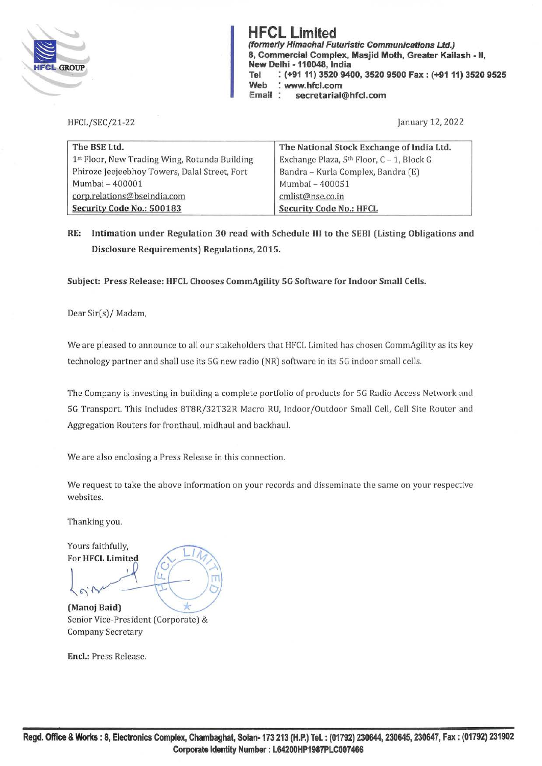

**(formerly Himachal Futuristic Communications Ltd.) El** *El CROUB* **(formerly Himachal Futuristic Communications Ltd.)<br>
8, Commercial Complex, Masjid Moth, Greater Kail<br>
New Delhi - 110048, India 8, Commercial Complex, Masjid Moth, Greater Kailash** - II, **New Delhi - 110048, India Tel** : **(+91 11) 3520 9400, 3520 9500 Fax: (+9111) 3520 9525 Web** : **www.hfcl.com Email secretarial@hfcl.com** 

HFCL/SEC/21-22

January 12, 2022

| The BSE Ltd.                                  | The National Stock Exchange of India Ltd. |
|-----------------------------------------------|-------------------------------------------|
| 1st Floor, New Trading Wing, Rotunda Building | Exchange Plaza, 5th Floor, C - 1, Block G |
| Phiroze Jeejeebhoy Towers, Dalal Street, Fort | Bandra - Kurla Complex, Bandra (E)        |
| Mumbai - 400001                               | Mumbai - 400051                           |
| corp.relations@bseindia.com                   | cmlist@nse.co.in                          |
| Security Code No.: 500183                     | <b>Security Code No.: HFCL</b>            |

**RE: Intimation under Regulation 30 read with Schedule** Ill **to the SEBI (Listing Obligations and Disclosure Requirements) Regulations, 2015.** 

**Subject: Press Release: HFCL Chooses CommAgility 5G Software for Indoor Small Cells.** 

Dear Sir(s)/ Madam,

We are pleased to announce to all our stakeholders that HFCL Limited has chosen CommAgility as its key technology partner and shall use its SG new radio (NR) software in its SG indoor small cells.

The Company is investing in building a complete portfolio of products for SG Radio Access Network and SG Transport. This includes 8T8R/32T32R Macro RU, Indoor /Outdoor Small Cell, Cell Site Router and Aggregation Routers for fronthaul, midhaul and backhaul.

We are also enclosing a Press Release in this connection.

We request to take the above information on your records and disseminate the same on your respective websites.

Thanking you.

Yours faithfully, For HFCL Limited

Īτ

**(Manoj Baid)**  Senior Vice-President (Corporate) & Company Secretary

**Encl.:** Press Release.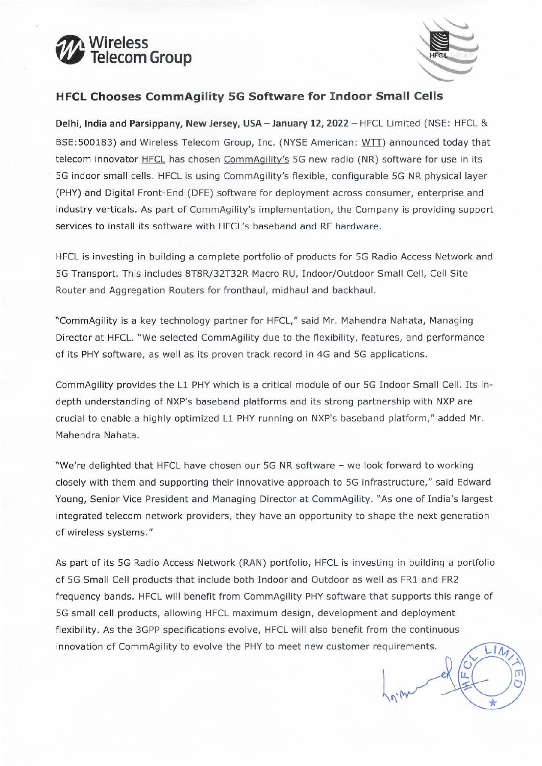



 $\lambda$  or  $\Lambda$  let

# **HFCL Chooses CommAgility SG Software for Indoor Small Cells**

**Delhi, India and Parsippany, New Jersey, USA - January 12, 2022** - HFCL Limited (NSE: HFCL & BSE:500183) and Wireless Telecom Group, Inc. (NYSE American: WTT) announced today that telecom innovator HFCL has chosen CommAgility's 5G new radio (NR) software for use in its SG indoor small cells. HFCL is using CommAgility's flexible, configurable SG NR physical layer (PHY) and Digital Front-End (DFE) software for deployment across consumer, enterprise and industry verticals. As part of CommAgility's implementation, the Company is providing support services to install its software with HFCL's baseband and RF hardware.

HFCL is investing in building a complete portfolio of products for SG Radio Access Network and SG Transport. This includes 8T8R/32T32R Macro RU, Indoor/Outdoor Small Cell, Cell Site Router and Aggregation Routers for fronthaul, midhaul and backhaul.

"CommAgility is a key technology partner for HFCL," said Mr. Mahendra Nahata, Managing Director at HFCL. "We selected CommAgility due to the flexibility, features, and performance of its PHY software, as well as its proven track record in 4G and SG applications.

CommAgility provides the L1 PHY which is a critical module of our SG Indoor Small Cell. Its indepth understanding of NXP's baseband platforms and its strong partnership with NXP are crucial to enable a highly optimized L1 PHY running on NXP's baseband platform," added Mr. Mahendra Nahata.

"We're delighted that HFCL have chosen our SG NR software - we look forward to working closely with them and supporting their innovative approach to SG infrastructure," said Edward Young, Senior Vice President and Managing Director at CommAgility. "As one of India's largest integrated telecom network providers, they have an opportunity to shape the next generation of wireless systems."

As part of its SG Radio Access Network (RAN) portfolio, HFCL is investing in building a portfolio of SG Small Cell products that include both Indoor and Outdoor as well as FRl and FR2 frequency bands. HFCL will benefit from CommAgility PHY software that supports this range of SG small cell products, allowing HFCL maximum design, development and deployment flexibility. As the 3GPP specifications evolve, HFCL will also benefit from the continuous innovation of CommAgility to evolve the PHY to meet new customer requirements. LIN  $\int$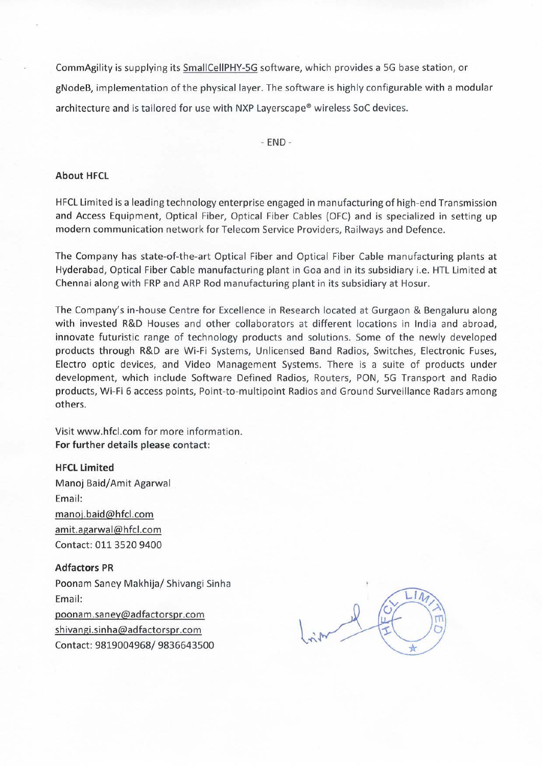CommAgility is supplying its SmallCellPHY-5G software, which provides a 5G base station, or gNodeB, implementation of the physical layer. The software is highly configurable with a modular architecture and is tailored for use with NXP Layerscape® wireless SoC devices.

 $-$  END  $-$ 

### **About HFCL**

HFCL Limited is a leading technology enterprise engaged in manufacturing of high-end Transmission and Access Equipment, Optical Fiber, Optical Fiber Cables (OFC) and is specialized in setting up modern communication network for Telecom Service Providers, Railways and Defence.

The Company has state-of-the-art Optical Fiber and Optical Fiber Cable manufacturing plants at Hyderabad, Optical Fiber Cable manufacturing plant in Goa and in its subsidiary i.e. HTL Limited at Chennai along with FRP and ARP Rod manufacturing plant in its subsidiary at Hosur.

The Company's in-house Centre for Excellence in Research located at Gurgaon & Bengaluru along with invested R&D Houses and other collaborators at different locations in India and abroad, innovate futuristic range of technology products and solutions. Some of the newly developed products through R&D are Wi-Fi Systems, Unlicensed Band Radios, Switches, Electronic Fuses, Electro optic devices, and Video Management Systems. There is a suite of products under development, which include Software Defined Radios, Routers, PON, 5G Transport and Radio products, Wi-Fi 6 access points, Point-to-multipoint Radios and Ground Surveillance Radars among others.

Visit www.hfcl.com for more information. **For further details please contact:** 

## **HFCL Limited**

Manoj Baid/ Amit Agarwal Email: manoj.baid@hfcl.com amit.agarwal@hfcl.com Contact: 011 3520 9400

### **Adfactors PR**

Poonam Saney Makhija/ Shivangi Sinha Email: poonam.saney@adfactorspr.com shivangi.sinha@adfactorspr.com

Contact: 9819004968/ 9836643500

 $11$